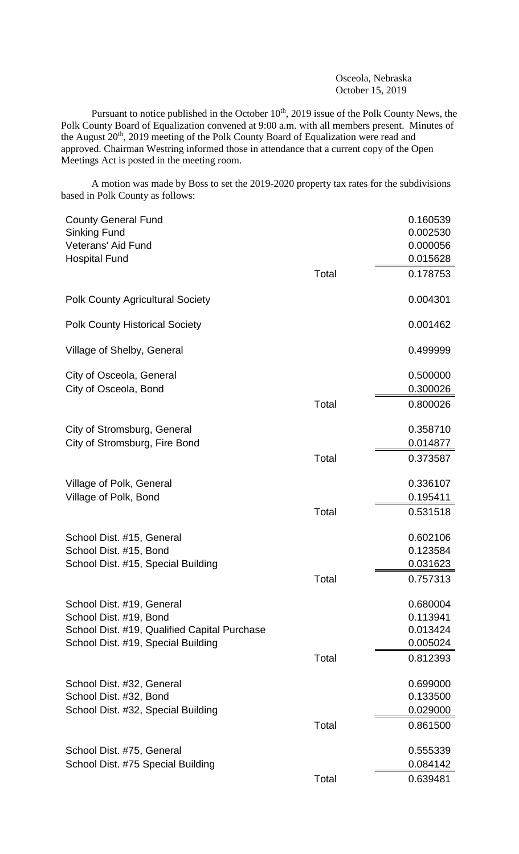Osceola, Nebraska October 15, 2019

Pursuant to notice published in the October  $10^{th}$ , 2019 issue of the Polk County News, the Polk County Board of Equalization convened at 9:00 a.m. with all members present. Minutes of the August 20<sup>th</sup>, 2019 meeting of the Polk County Board of Equalization were read and approved. Chairman Westring informed those in attendance that a current copy of the Open Meetings Act is posted in the meeting room.

A motion was made by Boss to set the 2019-2020 property tax rates for the subdivisions based in Polk County as follows:

| <b>County General Fund</b>                   |       | 0.160539 |
|----------------------------------------------|-------|----------|
| <b>Sinking Fund</b>                          |       | 0.002530 |
| <b>Veterans' Aid Fund</b>                    |       | 0.000056 |
| <b>Hospital Fund</b>                         |       | 0.015628 |
|                                              | Total | 0.178753 |
| <b>Polk County Agricultural Society</b>      |       | 0.004301 |
| <b>Polk County Historical Society</b>        |       | 0.001462 |
| Village of Shelby, General                   |       | 0.499999 |
| City of Osceola, General                     |       | 0.500000 |
| City of Osceola, Bond                        |       | 0.300026 |
|                                              | Total | 0.800026 |
| City of Stromsburg, General                  |       | 0.358710 |
| City of Stromsburg, Fire Bond                |       | 0.014877 |
|                                              | Total | 0.373587 |
| Village of Polk, General                     |       | 0.336107 |
| Village of Polk, Bond                        |       | 0.195411 |
|                                              | Total | 0.531518 |
| School Dist. #15, General                    |       | 0.602106 |
| School Dist. #15, Bond                       |       | 0.123584 |
| School Dist. #15, Special Building           |       | 0.031623 |
|                                              | Total | 0.757313 |
| School Dist. #19, General                    |       | 0.680004 |
| School Dist. #19, Bond                       |       | 0.113941 |
| School Dist. #19, Qualified Capital Purchase |       | 0.013424 |
| School Dist. #19, Special Building           |       | 0.005024 |
|                                              | Total | 0.812393 |
| School Dist. #32, General                    |       | 0.699000 |
| School Dist. #32, Bond                       |       | 0.133500 |
| School Dist. #32, Special Building           |       | 0.029000 |
|                                              | Total | 0.861500 |
| School Dist. #75, General                    |       | 0.555339 |
| School Dist. #75 Special Building            |       | 0.084142 |
|                                              | Total | 0.639481 |